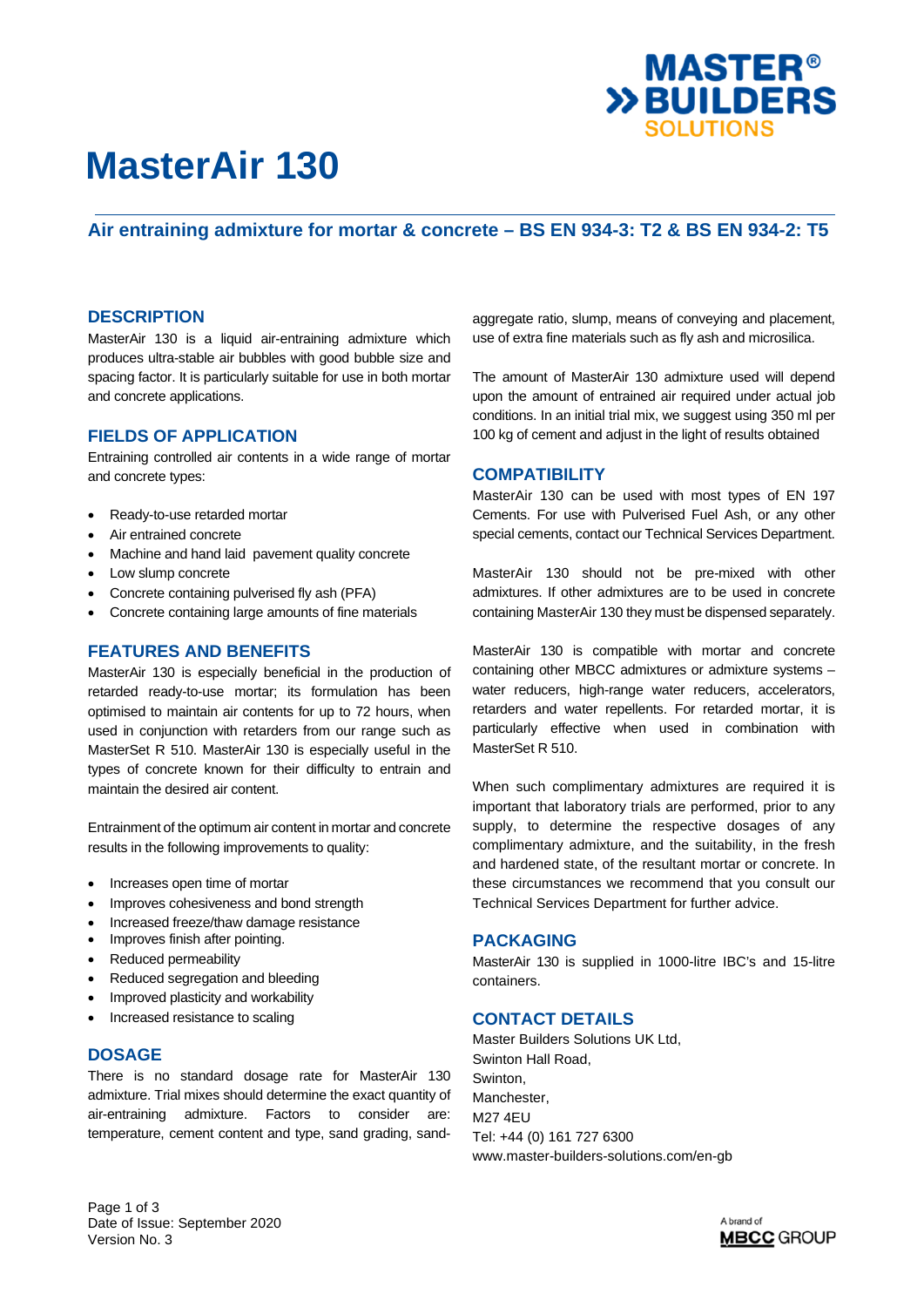

# **MasterAir 130**

## **Air entraining admixture for mortar & concrete – BS EN 934-3: T2 & BS EN 934-2: T5**

### **DESCRIPTION**

MasterAir 130 is a liquid air-entraining admixture which produces ultra-stable air bubbles with good bubble size and spacing factor. It is particularly suitable for use in both mortar and concrete applications.

### **FIELDS OF APPLICATION**

Entraining controlled air contents in a wide range of mortar and concrete types:

- Ready-to-use retarded mortar
- Air entrained concrete
- Machine and hand laid pavement quality concrete
- Low slump concrete
- Concrete containing pulverised fly ash (PFA)
- Concrete containing large amounts of fine materials

#### **FEATURES AND BENEFITS**

MasterAir 130 is especially beneficial in the production of retarded ready-to-use mortar; its formulation has been optimised to maintain air contents for up to 72 hours, when used in conjunction with retarders from our range such as MasterSet R 510. MasterAir 130 is especially useful in the types of concrete known for their difficulty to entrain and maintain the desired air content.

Entrainment of the optimum air content in mortar and concrete results in the following improvements to quality:

- Increases open time of mortar
- Improves cohesiveness and bond strength
- Increased freeze/thaw damage resistance
- Improves finish after pointing.
- Reduced permeability
- Reduced segregation and bleeding
- Improved plasticity and workability
- Increased resistance to scaling

### **DOSAGE**

There is no standard dosage rate for MasterAir 130 admixture. Trial mixes should determine the exact quantity of air-entraining admixture. Factors to consider are: temperature, cement content and type, sand grading, sandaggregate ratio, slump, means of conveying and placement, use of extra fine materials such as fly ash and microsilica.

The amount of MasterAir 130 admixture used will depend upon the amount of entrained air required under actual job conditions. In an initial trial mix, we suggest using 350 ml per 100 kg of cement and adjust in the light of results obtained

#### **COMPATIBILITY**

MasterAir 130 can be used with most types of EN 197 Cements. For use with Pulverised Fuel Ash, or any other special cements, contact our Technical Services Department.

MasterAir 130 should not be pre-mixed with other admixtures. If other admixtures are to be used in concrete containing MasterAir 130 they must be dispensed separately.

MasterAir 130 is compatible with mortar and concrete containing other MBCC admixtures or admixture systems – water reducers, high-range water reducers, accelerators, retarders and water repellents. For retarded mortar, it is particularly effective when used in combination with MasterSet R 510.

When such complimentary admixtures are required it is important that laboratory trials are performed, prior to any supply, to determine the respective dosages of any complimentary admixture, and the suitability, in the fresh and hardened state, of the resultant mortar or concrete. In these circumstances we recommend that you consult our Technical Services Department for further advice.

### **PACKAGING**

MasterAir 130 is supplied in 1000-litre IBC's and 15-litre containers.

### **CONTACT DETAILS**

Master Builders Solutions UK Ltd, Swinton Hall Road, Swinton, Manchester, M27 4EU Tel: +44 (0) 161 727 6300 www.master-builders-solutions.com/en-gb

Page 1 of 3 Date of Issue: September 2020 Version No. 3

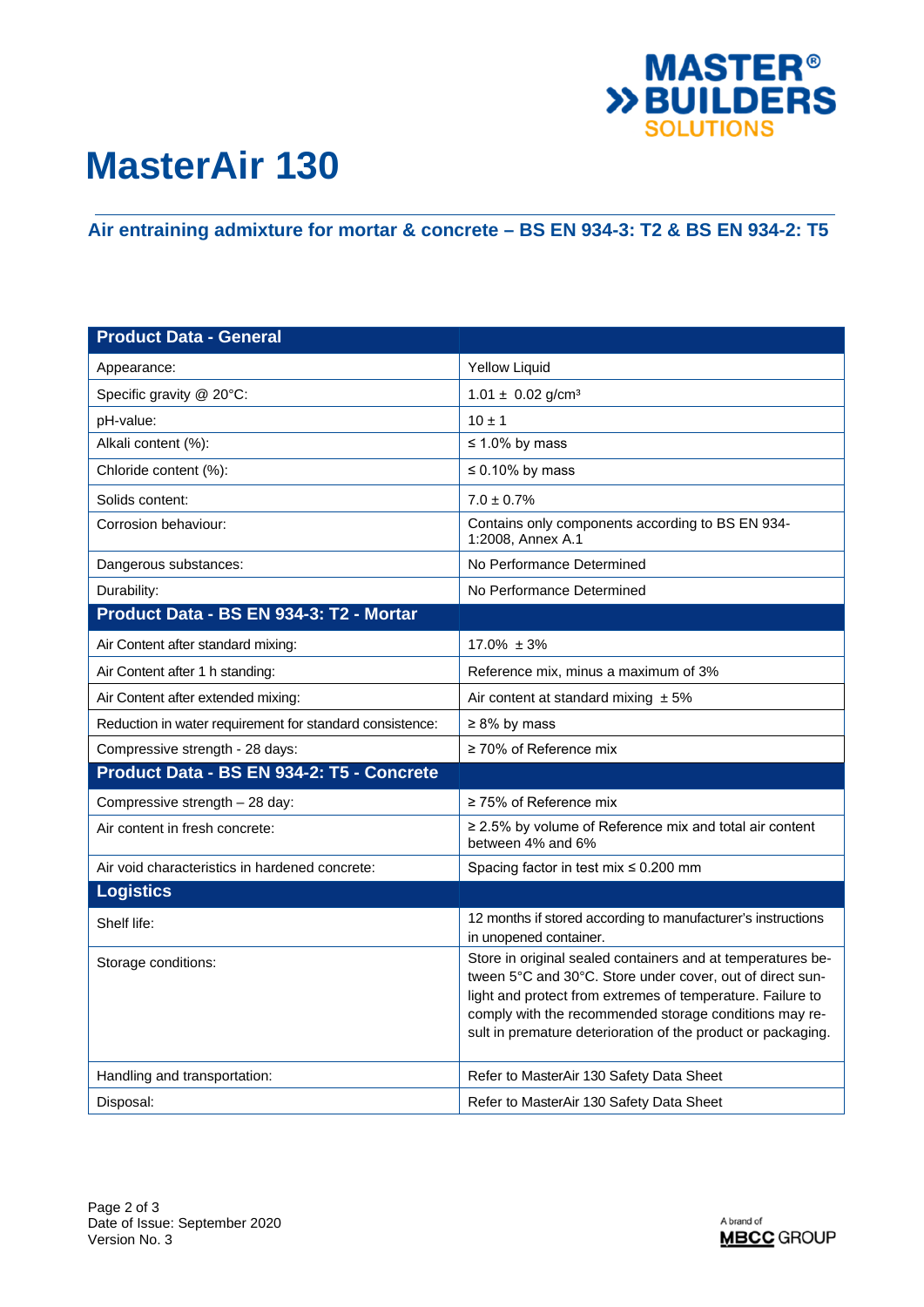

# **MasterAir 130**

## **Air entraining admixture for mortar & concrete – BS EN 934-3: T2 & BS EN 934-2: T5**

| <b>Product Data - General</b>                            |                                                                                                                                                                                                                                                                                                                  |
|----------------------------------------------------------|------------------------------------------------------------------------------------------------------------------------------------------------------------------------------------------------------------------------------------------------------------------------------------------------------------------|
| Appearance:                                              | <b>Yellow Liquid</b>                                                                                                                                                                                                                                                                                             |
| Specific gravity @ 20°C:                                 | $1.01 \pm 0.02$ g/cm <sup>3</sup>                                                                                                                                                                                                                                                                                |
| pH-value:                                                | $10 \pm 1$                                                                                                                                                                                                                                                                                                       |
| Alkali content (%):                                      | $\leq 1.0\%$ by mass                                                                                                                                                                                                                                                                                             |
| Chloride content (%):                                    | $\leq 0.10\%$ by mass                                                                                                                                                                                                                                                                                            |
| Solids content:                                          | $7.0 \pm 0.7\%$                                                                                                                                                                                                                                                                                                  |
| Corrosion behaviour:                                     | Contains only components according to BS EN 934-<br>1:2008, Annex A.1                                                                                                                                                                                                                                            |
| Dangerous substances:                                    | No Performance Determined                                                                                                                                                                                                                                                                                        |
| Durability:                                              | No Performance Determined                                                                                                                                                                                                                                                                                        |
| Product Data - BS EN 934-3: T2 - Mortar                  |                                                                                                                                                                                                                                                                                                                  |
| Air Content after standard mixing:                       | $17.0\% \pm 3\%$                                                                                                                                                                                                                                                                                                 |
| Air Content after 1 h standing:                          | Reference mix, minus a maximum of 3%                                                                                                                                                                                                                                                                             |
| Air Content after extended mixing:                       | Air content at standard mixing $± 5\%$                                                                                                                                                                                                                                                                           |
| Reduction in water requirement for standard consistence: | $\geq 8\%$ by mass                                                                                                                                                                                                                                                                                               |
| Compressive strength - 28 days:                          | ≥ 70% of Reference mix                                                                                                                                                                                                                                                                                           |
| Product Data - BS EN 934-2: T5 - Concrete                |                                                                                                                                                                                                                                                                                                                  |
| Compressive strength - 28 day:                           | $\geq$ 75% of Reference mix                                                                                                                                                                                                                                                                                      |
| Air content in fresh concrete:                           | $\geq$ 2.5% by volume of Reference mix and total air content<br>between 4% and 6%                                                                                                                                                                                                                                |
| Air void characteristics in hardened concrete:           | Spacing factor in test mix ≤ 0.200 mm                                                                                                                                                                                                                                                                            |
| <b>Logistics</b>                                         |                                                                                                                                                                                                                                                                                                                  |
| Shelf life:                                              | 12 months if stored according to manufacturer's instructions<br>in unopened container.                                                                                                                                                                                                                           |
| Storage conditions:                                      | Store in original sealed containers and at temperatures be-<br>tween 5°C and 30°C. Store under cover, out of direct sun-<br>light and protect from extremes of temperature. Failure to<br>comply with the recommended storage conditions may re-<br>sult in premature deterioration of the product or packaging. |
| Handling and transportation:                             | Refer to MasterAir 130 Safety Data Sheet                                                                                                                                                                                                                                                                         |
| Disposal:                                                | Refer to MasterAir 130 Safety Data Sheet                                                                                                                                                                                                                                                                         |